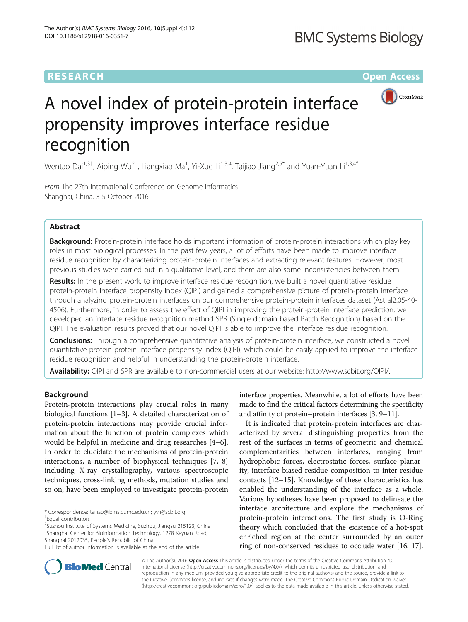# **RESEARCH CHE Open Access**



# A novel index of protein-protein interface propensity improves interface residue recognition

Wentao Dai $^{1,3\dagger}$ , Aiping Wu $^{2\dagger}$ , Liangxiao Ma $^1$ , Yi-Xue Li $^{1,3,4}$ , Taijiao Jiang $^{2,5^\ast}$  and Yuan-Yuan Li $^{1,3,4^\ast}$ 

From The 27th International Conference on Genome Informatics Shanghai, China. 3-5 October 2016

# Abstract

**Background:** Protein-protein interface holds important information of protein-protein interactions which play key roles in most biological processes. In the past few years, a lot of efforts have been made to improve interface residue recognition by characterizing protein-protein interfaces and extracting relevant features. However, most previous studies were carried out in a qualitative level, and there are also some inconsistencies between them.

Results: In the present work, to improve interface residue recognition, we built a novel quantitative residue protein-protein interface propensity index (QIPI) and gained a comprehensive picture of protein-protein interface through analyzing protein-protein interfaces on our comprehensive protein-protein interfaces dataset (Astral2.05-40- 4506). Furthermore, in order to assess the effect of QIPI in improving the protein-protein interface prediction, we developed an interface residue recognition method SPR (Single domain based Patch Recognition) based on the QIPI. The evaluation results proved that our novel QIPI is able to improve the interface residue recognition.

**Conclusions:** Through a comprehensive quantitative analysis of protein-protein interface, we constructed a novel quantitative protein-protein interface propensity index (QIPI), which could be easily applied to improve the interface residue recognition and helpful in understanding the protein-protein interface.

Availability: QIPI and SPR are available to non-commercial users at our website: [http://www.scbit.org/QIPI/.](http://www.scbit.org/QIPI/)

# Background

Protein-protein interactions play crucial roles in many biological functions [[1](#page-10-0)–[3](#page-10-0)]. A detailed characterization of protein-protein interactions may provide crucial information about the function of protein complexes which would be helpful in medicine and drug researches [\[4](#page-10-0)–[6](#page-10-0)]. In order to elucidate the mechanisms of protein-protein interactions, a number of biophysical techniques [\[7, 8](#page-10-0)] including X-ray crystallography, various spectroscopic techniques, cross-linking methods, mutation studies and so on, have been employed to investigate protein-protein

2 Suzhou Institute of Systems Medicine, Suzhou, Jiangsu 215123, China <sup>1</sup>Shanghai Center for Bioinformation Technology, 1278 Keyuan Road, Shanghai 2012035, People's Republic of China

interface properties. Meanwhile, a lot of efforts have been made to find the critical factors determining the specificity and affinity of protein–protein interfaces [\[3, 9](#page-10-0)–[11\]](#page-10-0).

It is indicated that protein-protein interfaces are characterized by several distinguishing properties from the rest of the surfaces in terms of geometric and chemical complementarities between interfaces, ranging from hydrophobic forces, electrostatic forces, surface planarity, interface biased residue composition to inter-residue contacts [\[12](#page-10-0)–[15\]](#page-10-0). Knowledge of these characteristics has enabled the understanding of the interface as a whole. Various hypotheses have been proposed to delineate the interface architecture and explore the mechanisms of protein-protein interactions. The first study is O-Ring theory which concluded that the existence of a hot-spot enriched region at the center surrounded by an outer ring of non-conserved residues to occlude water [[16](#page-10-0), [17](#page-10-0)].



© The Author(s). 2016 Open Access This article is distributed under the terms of the Creative Commons Attribution 4.0 International License [\(http://creativecommons.org/licenses/by/4.0/](http://creativecommons.org/licenses/by/4.0/)), which permits unrestricted use, distribution, and reproduction in any medium, provided you give appropriate credit to the original author(s) and the source, provide a link to the Creative Commons license, and indicate if changes were made. The Creative Commons Public Domain Dedication waiver [\(http://creativecommons.org/publicdomain/zero/1.0/](http://creativecommons.org/publicdomain/zero/1.0/)) applies to the data made available in this article, unless otherwise stated.

<sup>\*</sup> Correspondence: [taijiao@ibms.pumc.edu.cn](mailto:taijiao@ibms.pumc.edu.cn); [yyli@scbit.org](mailto:yyli@scbit.org) †

Equal contributors

Full list of author information is available at the end of the article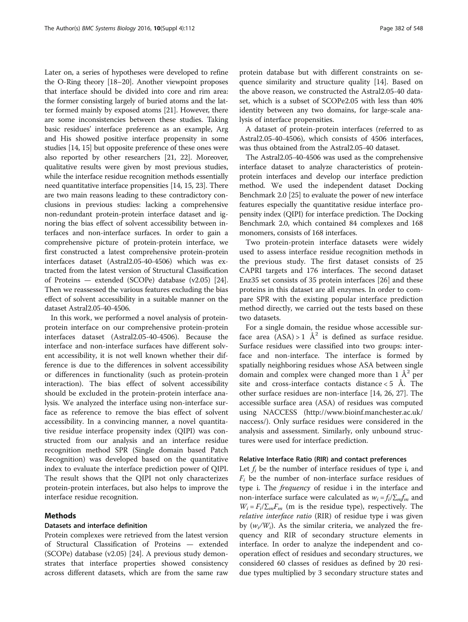Later on, a series of hypotheses were developed to refine the O-Ring theory [[18](#page-10-0)–[20\]](#page-10-0). Another viewpoint proposes that interface should be divided into core and rim area: the former consisting largely of buried atoms and the latter formed mainly by exposed atoms [\[21](#page-10-0)]. However, there are some inconsistencies between these studies. Taking basic residues' interface preference as an example, Arg and His showed positive interface propensity in some studies [\[14, 15](#page-10-0)] but opposite preference of these ones were also reported by other researchers [\[21](#page-10-0), [22](#page-10-0)]. Moreover, qualitative results were given by most previous studies, while the interface residue recognition methods essentially need quantitative interface propensities [\[14, 15](#page-10-0), [23\]](#page-10-0). There are two main reasons leading to these contradictory conclusions in previous studies: lacking a comprehensive non-redundant protein-protein interface dataset and ignoring the bias effect of solvent accessibility between interfaces and non-interface surfaces. In order to gain a comprehensive picture of protein-protein interface, we first constructed a latest comprehensive protein-protein interfaces dataset (Astral2.05-40-4506) which was extracted from the latest version of Structural Classification of Proteins — extended (SCOPe) database (v2.05) [[24](#page-10-0)]. Then we reassessed the various features excluding the bias effect of solvent accessibility in a suitable manner on the dataset Astral2.05-40-4506.

In this work, we performed a novel analysis of proteinprotein interface on our comprehensive protein-protein interfaces dataset (Astral2.05-40-4506). Because the interface and non-interface surfaces have different solvent accessibility, it is not well known whether their difference is due to the differences in solvent accessibility or differences in functionality (such as protein-protein interaction). The bias effect of solvent accessibility should be excluded in the protein-protein interface analysis. We analyzed the interface using non-interface surface as reference to remove the bias effect of solvent accessibility. In a convincing manner, a novel quantitative residue interface propensity index (QIPI) was constructed from our analysis and an interface residue recognition method SPR (Single domain based Patch Recognition) was developed based on the quantitative index to evaluate the interface prediction power of QIPI. The result shows that the QIPI not only characterizes protein-protein interfaces, but also helps to improve the interface residue recognition.

# Methods

# Datasets and interface definition

Protein complexes were retrieved from the latest version of Structural Classification of Proteins — extended (SCOPe) database (v2.05) [[24](#page-10-0)]. A previous study demonstrates that interface properties showed consistency across different datasets, which are from the same raw

protein database but with different constraints on sequence similarity and structure quality [\[14\]](#page-10-0). Based on the above reason, we constructed the Astral2.05-40 dataset, which is a subset of SCOPe2.05 with less than 40% identity between any two domains, for large-scale analysis of interface propensities.

A dataset of protein-protein interfaces (referred to as Astral2.05-40-4506), which consists of 4506 interfaces, was thus obtained from the Astral2.05-40 dataset.

The Astral2.05-40-4506 was used as the comprehensive interface dataset to analyze characteristics of proteinprotein interfaces and develop our interface prediction method. We used the independent dataset Docking Benchmark 2.0 [[25](#page-10-0)] to evaluate the power of new interface features especially the quantitative residue interface propensity index (QIPI) for interface prediction. The Docking Benchmark 2.0, which contained 84 complexes and 168 monomers, consists of 168 interfaces.

Two protein-protein interface datasets were widely used to assess interface residue recognition methods in the previous study. The first dataset consists of 25 CAPRI targets and 176 interfaces. The second dataset Enz35 set consists of 35 protein interfaces [[26](#page-10-0)] and these proteins in this dataset are all enzymes. In order to compare SPR with the existing popular interface prediction method directly, we carried out the tests based on these two datasets.

For a single domain, the residue whose accessible surface area  $(ASA) > 1$   $\mathring{A}^2$  is defined as surface residue. Surface residues were classified into two groups: interface and non-interface. The interface is formed by spatially neighboring residues whose ASA between single domain and complex were changed more than  $1 \text{ Å}^2$  per site and cross-interface contacts distance  $< 5$  Å. The other surface residues are non-interface [\[14, 26,](#page-10-0) [27](#page-11-0)]. The accessible surface area (ASA) of residues was computed using NACCESS ([http://www.bioinf.manchester.ac.uk/](http://www.bioinf.manchester.ac.uk/naccess/) [naccess/\)](http://www.bioinf.manchester.ac.uk/naccess/). Only surface residues were considered in the analysis and assessment. Similarly, only unbound structures were used for interface prediction.

# Relative Interface Ratio (RIR) and contact preferences

Let  $f_i$  be the number of interface residues of type i, and  $F_i$  be the number of non-interface surface residues of type i. The *frequency* of residue i in the interface and non-interface surface were calculated as  $w_i = f_i/\sum_m f_m$  and  $W_i = F_i / \sum_m F_m$  (m is the residue type), respectively. The relative interface ratio (RIR) of residue type i was given by  $(w_i/W_i)$ . As the similar criteria, we analyzed the frequency and RIR of secondary structure elements in interface. In order to analyze the independent and cooperation effect of residues and secondary structures, we considered 60 classes of residues as defined by 20 residue types multiplied by 3 secondary structure states and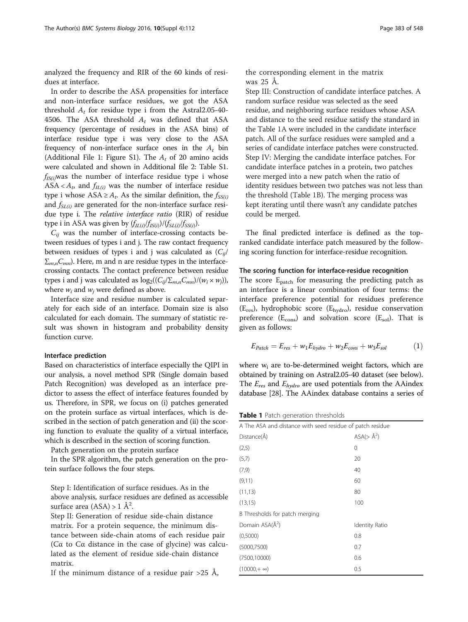<span id="page-2-0"></span>analyzed the frequency and RIR of the 60 kinds of residues at interface.

In order to describe the ASA propensities for interface and non-interface surface residues, we got the ASA threshold  $A_t$  for residue type i from the Astral2.05-40-4506. The ASA threshold  $A_t$  was defined that ASA frequency (percentage of residues in the ASA bins) of interface residue type i was very close to the ASA frequency of non-interface surface ones in the  $A_t$  bin (Additional File [1:](#page-10-0) Figure S1). The  $A_t$  of 20 amino acids were calculated and shown in Additional file [2:](#page-10-0) Table S1.  $f_{IS(i)}$ was the number of interface residue type i whose ASA  $\langle A_t$  and  $f_{IL(i)}$  was the number of interface residue type i whose ASA  $\geq A_t$ . As the similar definition, the  $f_{SS(i)}$ and  $f_{SI(i)}$  are generated for the non-interface surface residue type i. The relative interface ratio (RIR) of residue type i in ASA was given by  $(f_{IL(i)}/f_{IS(i)})/(f_{SL(i)}/f_{SS(i)})$ .

 $C_{ii}$  was the number of interface-crossing contacts between residues of types i and j. The raw contact frequency between residues of types i and j was calculated as  $(C_{ii}/C_{ii})$  $\sum_{m,n}C_{mn}$ ). Here, m and n are residue types in the interfacecrossing contacts. The contact preference between residue types i and j was calculated as  $log_2((C_{ij}/\Sigma_{m,n}C_{mn})/(w_i \times w_j)),$ where  $w_i$  and  $w_i$  were defined as above.

Interface size and residue number is calculated separately for each side of an interface. Domain size is also calculated for each domain. The summary of statistic result was shown in histogram and probability density function curve.

# Interface prediction

Based on characteristics of interface especially the QIPI in our analysis, a novel method SPR (Single domain based Patch Recognition) was developed as an interface predictor to assess the effect of interface features founded by us. Therefore, in SPR, we focus on (i) patches generated on the protein surface as virtual interfaces, which is described in the section of patch generation and (ii) the scoring function to evaluate the quality of a virtual interface, which is described in the section of scoring function.

Patch generation on the protein surface

In the SPR algorithm, the patch generation on the protein surface follows the four steps.

Step I: Identification of surface residues. As in the above analysis, surface residues are defined as accessible surface area  $(ASA) > 1 \text{ Å}^2$ .

Step II: Generation of residue side-chain distance matrix. For a protein sequence, the minimum distance between side-chain atoms of each residue pair (C $\alpha$  to C $\alpha$  distance in the case of glycine) was calculated as the element of residue side-chain distance matrix.

If the minimum distance of a residue pair >25 Å,

the corresponding element in the matrix was 25 Å.

Step III: Construction of candidate interface patches. A random surface residue was selected as the seed residue, and neighboring surface residues whose ASA and distance to the seed residue satisfy the standard in the Table 1A were included in the candidate interface patch. All of the surface residues were sampled and a series of candidate interface patches were constructed. Step IV: Merging the candidate interface patches. For candidate interface patches in a protein, two patches were merged into a new patch when the ratio of identity residues between two patches was not less than the threshold (Table 1B). The merging process was kept iterating until there wasn't any candidate patches could be merged.

The final predicted interface is defined as the topranked candidate interface patch measured by the following scoring function for interface-residue recognition.

# The scoring function for interface-residue recognition

The score  $E_{patch}$  for measuring the predicting patch as an interface is a linear combination of four terms: the interface preference potential for residues preference  $(E_{res})$ , hydrophobic score  $(E_{hydro})$ , residue conservation preference  $(E_{cons})$  and solvation score  $(E_{sol})$ . That is given as follows:

$$
E_{\text{patch}} = E_{\text{res}} + w_1 E_{\text{hydro}} + w_2 E_{\text{cons}} + w_3 E_{\text{sol}} \tag{1}
$$

where  $w_i$  are to-be-determined weight factors, which are obtained by training on Astral2.05-40 dataset (see below). The  $E_{res}$  and  $E_{hydro}$  are used potentials from the AAindex database [[28](#page-11-0)]. The AAindex database contains a series of

Table 1 Patch generation thresholds

| A The ASA and distance with seed residue of patch residue |                   |  |  |  |
|-----------------------------------------------------------|-------------------|--|--|--|
| Distance(Å)                                               | $ASA(>\lambda^2)$ |  |  |  |
| (2,5)                                                     | 0                 |  |  |  |
| (5,7)                                                     | 20                |  |  |  |
| (7,9)                                                     | 40                |  |  |  |
| (9,11)                                                    | 60                |  |  |  |
| (11, 13)                                                  | 80                |  |  |  |
| (13, 15)                                                  | 100               |  |  |  |
| B Thresholds for patch merging                            |                   |  |  |  |
| Domain ASA(Å <sup>2</sup> )                               | Identity Ratio    |  |  |  |
| (0,5000)                                                  | 0.8               |  |  |  |
| (5000, 7500)                                              | 0.7               |  |  |  |
| (7500, 10000)                                             | 0.6               |  |  |  |
| $(10000,+ \infty)$                                        | 0.5               |  |  |  |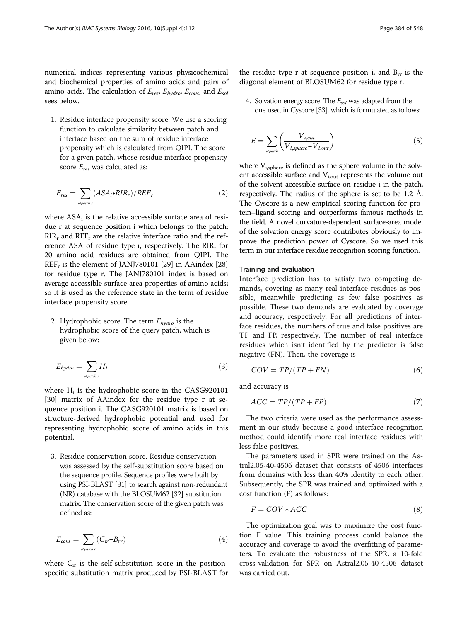numerical indices representing various physicochemical and biochemical properties of amino acids and pairs of amino acids. The calculation of  $E_{res}$ ,  $E_{hydro}$ ,  $E_{cons}$ , and  $E_{sol}$ sees below.

1. Residue interface propensity score. We use a scoring function to calculate similarity between patch and interface based on the sum of residue interface propensity which is calculated from QIPI. The score for a given patch, whose residue interface propensity score  $E_{res}$  was calculated as:

$$
E_{res} = \sum_{i \in patch, r} (ASA_i \cdot RIR_r) / REF_r \tag{2}
$$

where  $ASA_i$  is the relative accessible surface area of residue r at sequence position i which belongs to the patch;  $RIR<sub>r</sub>$  and  $REF<sub>r</sub>$  are the relative interface ratio and the reference ASA of residue type r, respectively. The  $\text{RIR}_{r}$  for 20 amino acid residues are obtained from QIPI. The  $REF<sub>r</sub>$  is the element of JANJ780101 [[29\]](#page-11-0) in AAindex [[28](#page-11-0)] for residue type r. The JANJ780101 index is based on average accessible surface area properties of amino acids; so it is used as the reference state in the term of residue interface propensity score.

2. Hydrophobic score. The term  $E_{hydro}$  is the hydrophobic score of the query patch, which is given below:

$$
E_{hydro} = \sum_{i:\text{epatch},r} H_i \tag{3}
$$

where  $H_i$  is the hydrophobic score in the CASG920101 [[30\]](#page-11-0) matrix of AAindex for the residue type r at sequence position i. The CASG920101 matrix is based on structure-derived hydrophobic potential and used for representing hydrophobic score of amino acids in this potential.

3. Residue conservation score. Residue conservation was assessed by the self-substitution score based on the sequence profile. Sequence profiles were built by using PSI-BLAST [\[31\]](#page-11-0) to search against non-redundant (NR) database with the BLOSUM62 [\[32\]](#page-11-0) substitution matrix. The conservation score of the given patch was defined as:

$$
E_{cons} = \sum_{i:\text{epatch},r} (C_{ir} - B_{rr}) \tag{4}
$$

where  $C_{ir}$  is the self-substitution score in the positionspecific substitution matrix produced by PSI-BLAST for the residue type r at sequence position i, and  $B_{rr}$  is the diagonal element of BLOSUM62 for residue type r.

4. Solvation energy score. The  $E_{sol}$  was adapted from the one used in Cyscore [\[33\]](#page-11-0), which is formulated as follows:

$$
E = \sum_{i \in patch} \left( \frac{V_{i,out}}{V_{i,sphere} - V_{i,out}} \right)
$$
 (5)

where  $V_{i,sphere}$  is defined as the sphere volume in the solvent accessible surface and V<sub>i,out</sub> represents the volume out of the solvent accessible surface on residue i in the patch, respectively. The radius of the sphere is set to be 1.2 Å. The Cyscore is a new empirical scoring function for protein–ligand scoring and outperforms famous methods in the field. A novel curvature-dependent surface-area model of the solvation energy score contributes obviously to improve the prediction power of Cyscore. So we used this term in our interface residue recognition scoring function.

# Training and evaluation

Interface prediction has to satisfy two competing demands, covering as many real interface residues as possible, meanwhile predicting as few false positives as possible. These two demands are evaluated by coverage and accuracy, respectively. For all predictions of interface residues, the numbers of true and false positives are TP and FP, respectively. The number of real interface residues which isn't identified by the predictor is false negative (FN). Then, the coverage is

$$
COV = TP/(TP + FN)
$$
 (6)

and accuracy is

$$
ACC = TP/(TP + FP) \tag{7}
$$

The two criteria were used as the performance assessment in our study because a good interface recognition method could identify more real interface residues with less false positives.

The parameters used in SPR were trained on the Astral2.05-40-4506 dataset that consists of 4506 interfaces from domains with less than 40% identity to each other. Subsequently, the SPR was trained and optimized with a cost function (F) as follows:

$$
F = COV * ACC \tag{8}
$$

The optimization goal was to maximize the cost function F value. This training process could balance the accuracy and coverage to avoid the overfitting of parameters. To evaluate the robustness of the SPR, a 10-fold cross-validation for SPR on Astral2.05-40-4506 dataset was carried out.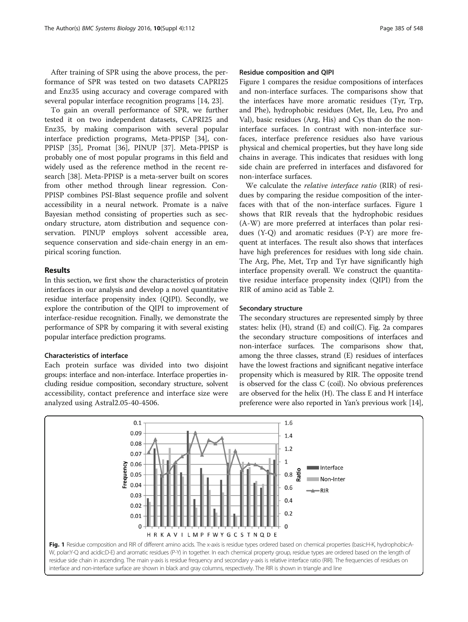<span id="page-4-0"></span>After training of SPR using the above process, the performance of SPR was tested on two datasets CAPRI25 and Enz35 using accuracy and coverage compared with several popular interface recognition programs [[14](#page-10-0), [23](#page-10-0)].

To gain an overall performance of SPR, we further tested it on two independent datasets, CAPRI25 and Enz35, by making comparison with several popular interface prediction programs, Meta-PPISP [\[34\]](#page-11-0), con-PPISP [\[35](#page-11-0)], Promat [[36\]](#page-11-0), PINUP [\[37](#page-11-0)]. Meta-PPISP is probably one of most popular programs in this field and widely used as the reference method in the recent research [\[38](#page-11-0)]. Meta-PPISP is a meta-server built on scores from other method through linear regression. Con-PPISP combines PSI-Blast sequence profile and solvent accessibility in a neural network. Promate is a naïve Bayesian method consisting of properties such as secondary structure, atom distribution and sequence conservation. PINUP employs solvent accessible area, sequence conservation and side-chain energy in an empirical scoring function.

# Results

In this section, we first show the characteristics of protein interfaces in our analysis and develop a novel quantitative residue interface propensity index (QIPI). Secondly, we explore the contribution of the QIPI to improvement of interface-residue recognition. Finally, we demonstrate the performance of SPR by comparing it with several existing popular interface prediction programs.

# Characteristics of interface

Each protein surface was divided into two disjoint groups: interface and non-interface. Interface properties including residue composition, secondary structure, solvent accessibility, contact preference and interface size were analyzed using Astral2.05-40-4506.

# Residue composition and QIPI

Figure 1 compares the residue compositions of interfaces and non-interface surfaces. The comparisons show that the interfaces have more aromatic residues (Tyr, Trp, and Phe), hydrophobic residues (Met, Ile, Leu, Pro and Val), basic residues (Arg, His) and Cys than do the noninterface surfaces. In contrast with non-interface surfaces, interface preference residues also have various physical and chemical properties, but they have long side chains in average. This indicates that residues with long side chain are preferred in interfaces and disfavored for non-interface surfaces.

We calculate the relative interface ratio (RIR) of residues by comparing the residue composition of the interfaces with that of the non-interface surfaces. Figure 1 shows that RIR reveals that the hydrophobic residues (A-W) are more preferred at interfaces than polar residues (Y-Q) and aromatic residues (P-Y) are more frequent at interfaces. The result also shows that interfaces have high preferences for residues with long side chain. The Arg, Phe, Met, Trp and Tyr have significantly high interface propensity overall. We construct the quantitative residue interface propensity index (QIPI) from the RIR of amino acid as Table [2.](#page-5-0)

# Secondary structure

The secondary structures are represented simply by three states: helix  $(H)$ , strand  $(E)$  and coil $(C)$ . Fig. [2a](#page-5-0) compares the secondary structure compositions of interfaces and non-interface surfaces. The comparisons show that, among the three classes, strand (E) residues of interfaces have the lowest fractions and significant negative interface propensity which is measured by RIR. The opposite trend is observed for the class C (coil). No obvious preferences are observed for the helix (H). The class E and H interface preference were also reported in Yan's previous work [[14](#page-10-0)],

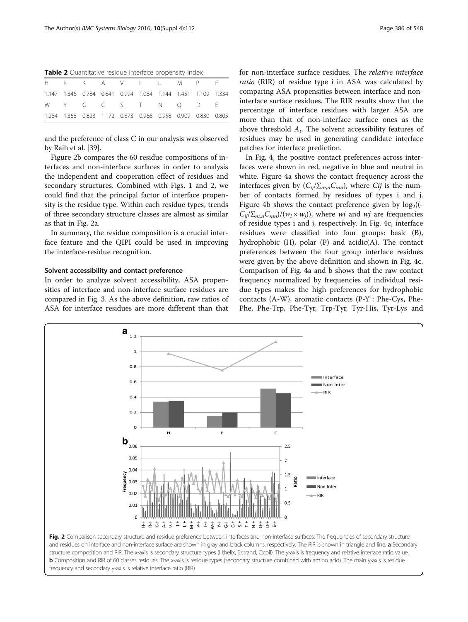<span id="page-5-0"></span>Table 2 Quantitative residue interface propensity index

|  |  | HRKAVILMPF                                                           |  |  |
|--|--|----------------------------------------------------------------------|--|--|
|  |  | 1.147  1.346  0.784  0.841  0.994  1.084  1.144  1.451  1.109  1.334 |  |  |
|  |  | WY GCSTNODE                                                          |  |  |
|  |  | 1.284  1.368  0.823  1.172  0.873  0.966  0.958  0.909  0.830  0.805 |  |  |

and the preference of class C in our analysis was observed by Raih et al. [\[39\]](#page-11-0).

Figure 2b compares the 60 residue compositions of interfaces and non-interface surfaces in order to analysis the independent and cooperation effect of residues and secondary structures. Combined with Figs. [1](#page-4-0) and 2, we could find that the principal factor of interface propensity is the residue type. Within each residue types, trends of three secondary structure classes are almost as similar as that in Fig. 2a.

In summary, the residue composition is a crucial interface feature and the QIPI could be used in improving the interface-residue recognition.

# Solvent accessibility and contact preference

In order to analyze solvent accessibility, ASA propensities of interface and non-interface surface residues are compared in Fig. [3.](#page-6-0) As the above definition, raw ratios of ASA for interface residues are more different than that

for non-interface surface residues. The relative interface ratio (RIR) of residue type i in ASA was calculated by comparing ASA propensities between interface and noninterface surface residues. The RIR results show that the percentage of interface residues with larger ASA are more than that of non-interface surface ones as the above threshold  $A_t$ . The solvent accessibility features of residues may be used in generating candidate interface patches for interface prediction.

In Fig. [4,](#page-7-0) the positive contact preferences across interfaces were shown in red, negative in blue and neutral in white. Figure [4a](#page-7-0) shows the contact frequency across the interfaces given by  $(C_{ij}/\Sigma_{mn}C_{mn})$ , where Cij is the number of contacts formed by residues of types i and j. Figure [4b](#page-7-0) shows the contact preference given by  $log_2(($ - $C_{ii}(\Sigma_{m,n}C_{mn})/(w_i \times w_i)$ , where wi and wj are frequencies of residue types i and j, respectively. In Fig. [4c,](#page-7-0) interface residues were classified into four groups: basic (B), hydrophobic (H), polar (P) and acidic(A). The contact preferences between the four group interface residues were given by the above definition and shown in Fig. [4c](#page-7-0). Comparison of Fig. [4a and b](#page-7-0) shows that the raw contact frequency normalized by frequencies of individual residue types makes the high preferences for hydrophobic contacts (A-W), aromatic contacts (P-Y : Phe-Cys, Phe-Phe, Phe-Trp, Phe-Tyr, Trp-Tyr, Tyr-His, Tyr-Lys and

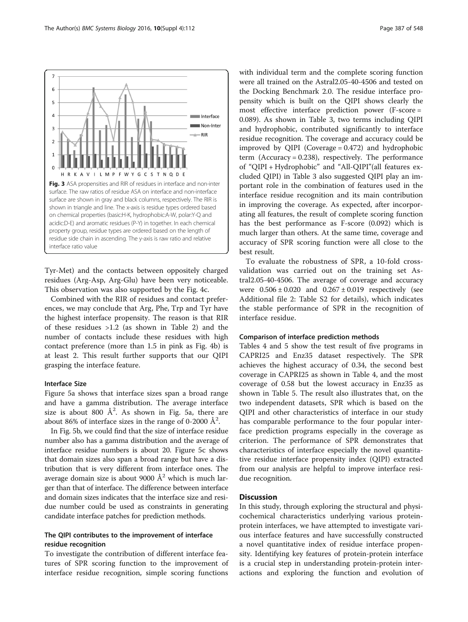

<span id="page-6-0"></span>

Tyr-Met) and the contacts between oppositely charged residues (Arg-Asp, Arg-Glu) have been very noticeable. This observation was also supported by the Fig. [4c](#page-7-0).

Combined with the RIR of residues and contact preferences, we may conclude that Arg, Phe, Trp and Tyr have the highest interface propensity. The reason is that RIR of these residues >1.2 (as shown in Table [2](#page-5-0)) and the number of contacts include these residues with high contact preference (more than 1.5 in pink as Fig. [4b](#page-7-0)) is at least 2. This result further supports that our QIPI grasping the interface feature.

# Interface Size

Figure [5a](#page-8-0) shows that interface sizes span a broad range and have a gamma distribution. The average interface size is about 800  $\AA^2$ . As shown in Fig. [5a](#page-8-0), there are about 86% of interface sizes in the range of 0-2000  $\AA^2$ .

In Fig. [5b](#page-8-0), we could find that the size of interface residue number also has a gamma distribution and the average of interface residue numbers is about 20. Figure [5c](#page-8-0) shows that domain sizes also span a broad range but have a distribution that is very different from interface ones. The average domain size is about 9000  $\AA^2$  which is much larger than that of interface. The difference between interface and domain sizes indicates that the interface size and residue number could be used as constraints in generating candidate interface patches for prediction methods.

# The QIPI contributes to the improvement of interface residue recognition

To investigate the contribution of different interface features of SPR scoring function to the improvement of interface residue recognition, simple scoring functions with individual term and the complete scoring function were all trained on the Astral2.05-40-4506 and tested on the Docking Benchmark 2.0. The residue interface propensity which is built on the QIPI shows clearly the most effective interface prediction power (F-score = 0.089). As shown in Table [3](#page-8-0), two terms including QIPI and hydrophobic, contributed significantly to interface residue recognition. The coverage and accuracy could be improved by QIPI (Coverage = 0.472) and hydrophobic term (Accuracy =  $0.238$ ), respectively. The performance of "QIPI + Hydrophobic" and "All-QIPI"(all features excluded QIPI) in Table [3](#page-8-0) also suggested QIPI play an important role in the combination of features used in the interface residue recognition and its main contribution in improving the coverage. As expected, after incorporating all features, the result of complete scoring function has the best performance as F-score (0.092) which is much larger than others. At the same time, coverage and accuracy of SPR scoring function were all close to the best result.

To evaluate the robustness of SPR, a 10-fold crossvalidation was carried out on the training set Astral2.05-40-4506. The average of coverage and accuracy were  $0.506 \pm 0.020$  and  $0.267 \pm 0.019$  respectively (see Additional file [2](#page-10-0): Table S2 for details), which indicates the stable performance of SPR in the recognition of interface residue.

# Comparison of interface prediction methods

Tables [4](#page-8-0) and [5](#page-9-0) show the test result of five programs in CAPRI25 and Enz35 dataset respectively. The SPR achieves the highest accuracy of 0.34, the second best coverage in CAPRI25 as shown in Table [4,](#page-8-0) and the most coverage of 0.58 but the lowest accuracy in Enz35 as shown in Table [5](#page-9-0). The result also illustrates that, on the two independent datasets, SPR which is based on the QIPI and other characteristics of interface in our study has comparable performance to the four popular interface prediction programs especially in the coverage as criterion. The performance of SPR demonstrates that characteristics of interface especially the novel quantitative residue interface propensity index (QIPI) extracted from our analysis are helpful to improve interface residue recognition.

# **Discussion**

In this study, through exploring the structural and physicochemical characteristics underlying various proteinprotein interfaces, we have attempted to investigate various interface features and have successfully constructed a novel quantitative index of residue interface propensity. Identifying key features of protein-protein interface is a crucial step in understanding protein-protein interactions and exploring the function and evolution of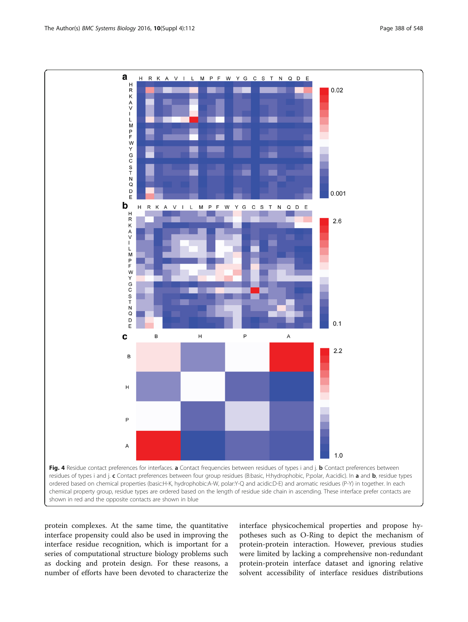$\overline{P}$  $\overline{A}$ 

Fig. 4 Residue contact preferences for interfaces. a Contact frequencies between residues of types i and j. b Contact preferences between ordered based on chemical properties (basic:H-K, hydrophobic:A-W, polar:Y-Q and acidic:D-E) and aromatic residues (P-Y) in together. In each chemical property group, residue types are ordered based on the length of residue side chain in ascending. These interface prefer contacts are shown in red and the opposite contacts are shown in blue

protein complexes. At the same time, the quantitative interface propensity could also be used in improving the interface residue recognition, which is important for a series of computational structure biology problems such as docking and protein design. For these reasons, a number of efforts have been devoted to characterize the

interface physicochemical properties and propose hypotheses such as O-Ring to depict the mechanism of protein-protein interaction. However, previous studies were limited by lacking a comprehensive non-redundant protein-protein interface dataset and ignoring relative solvent accessibility of interface residues distributions

<span id="page-7-0"></span>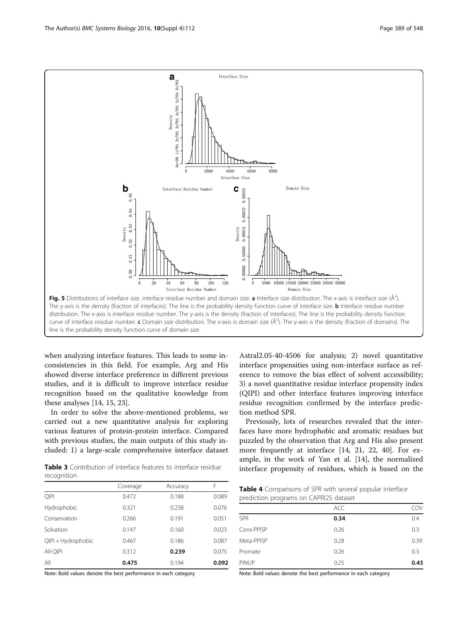<span id="page-8-0"></span>

when analyzing interface features. This leads to some inconsistencies in this field. For example, Arg and His showed diverse interface preference in different previous studies, and it is difficult to improve interface residue recognition based on the qualitative knowledge from these analyses [[14, 15, 23\]](#page-10-0).

In order to solve the above-mentioned problems, we carried out a new quantitative analysis for exploring various features of protein-protein interface. Compared with previous studies, the main outputs of this study included: 1) a large-scale comprehensive interface dataset

Table 3 Contribution of interface features to interface residue recognition

|                    | Coverage | Accuracy | F     |
|--------------------|----------|----------|-------|
| OIPI               | 0.472    | 0.188    | 0.089 |
| Hydrophobic        | 0.321    | 0.238    | 0.076 |
| Conservation       | 0.266    | 0.191    | 0.051 |
| Solvation          | 0.147    | 0.160    | 0.023 |
| QIPI + Hydrophobic | 0.467    | 0.186    | 0.087 |
| All-QIPI           | 0.312    | 0.239    | 0.075 |
| All                | 0.475    | 0.194    | 0.092 |

Note: Bold values denote the best performance in each category

Astral2.05-40-4506 for analysis; 2) novel quantitative interface propensities using non-interface surface as reference to remove the bias effect of solvent accessibility; 3) a novel quantitative residue interface propensity index (QIPI) and other interface features improving interface residue recognition confirmed by the interface prediction method SPR.

Previously, lots of researches revealed that the interfaces have more hydrophobic and aromatic residues but puzzled by the observation that Arg and His also present more frequently at interface [[14](#page-10-0), [21, 22,](#page-10-0) [40](#page-11-0)]. For example, in the work of Yan et al. [\[14\]](#page-10-0), the normalized interface propensity of residues, which is based on the

| Table 4 Comparisons of SPR with several popular interface |  |  |  |
|-----------------------------------------------------------|--|--|--|
| prediction programs on CAPRI25 dataset                    |  |  |  |

|            | <b>ACC</b> | COV  |
|------------|------------|------|
| <b>SPR</b> | 0.34       | 0.4  |
| Cons-PPISP | 0.26       | 0.3  |
| Meta-PPISP | 0.28       | 0.39 |
| Promate    | 0.26       | 0.3  |
| PINUP      | 0.25       | 0.43 |

Note: Bold values denote the best performance in each category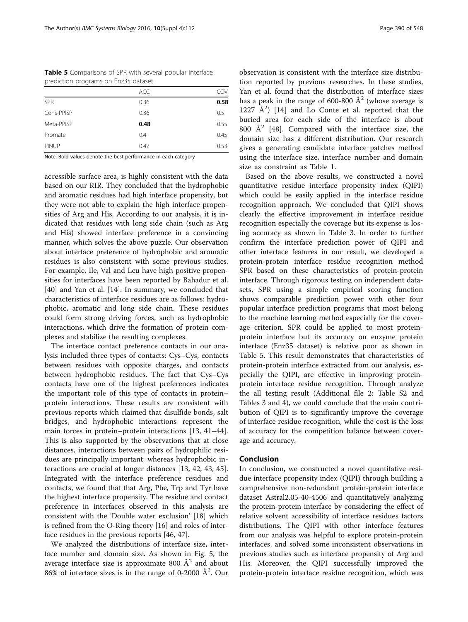| prediction programs on Enz35 dataset |      |      |  |  |
|--------------------------------------|------|------|--|--|
|                                      | ACC  | COV  |  |  |
| SPR                                  | 0.36 | 0.58 |  |  |
| Cons-PPISP                           | 0.36 | 0.5  |  |  |
| Meta-PPISP                           | 0.48 | 0.55 |  |  |
| Promate                              | 0.4  | 0.45 |  |  |
| PINUP                                | 0.47 | 0.53 |  |  |

<span id="page-9-0"></span>Table 5 Comparisons of SPR with several popular interface

Note: Bold values denote the best performance in each category

accessible surface area, is highly consistent with the data based on our RIR. They concluded that the hydrophobic and aromatic residues had high interface propensity, but they were not able to explain the high interface propensities of Arg and His. According to our analysis, it is indicated that residues with long side chain (such as Arg and His) showed interface preference in a convincing manner, which solves the above puzzle. Our observation about interface preference of hydrophobic and aromatic residues is also consistent with some previous studies. For example, Ile, Val and Leu have high positive propensities for interfaces have been reported by Bahadur et al. [[40\]](#page-11-0) and Yan et al. [\[14\]](#page-10-0). In summary, we concluded that characteristics of interface residues are as follows: hydrophobic, aromatic and long side chain. These residues could form strong driving forces, such as hydrophobic interactions, which drive the formation of protein complexes and stabilize the resulting complexes.

The interface contact preference contacts in our analysis included three types of contacts: Cys–Cys, contacts between residues with opposite charges, and contacts between hydrophobic residues. The fact that Cys–Cys contacts have one of the highest preferences indicates the important role of this type of contacts in protein– protein interactions. These results are consistent with previous reports which claimed that disulfide bonds, salt bridges, and hydrophobic interactions represent the main forces in protein–protein interactions [\[13,](#page-10-0) [41](#page-11-0)–[44](#page-11-0)]. This is also supported by the observations that at close distances, interactions between pairs of hydrophilic residues are principally important; whereas hydrophobic interactions are crucial at longer distances [[13,](#page-10-0) [42, 43](#page-11-0), [45](#page-11-0)]. Integrated with the interface preference residues and contacts, we found that that Arg, Phe, Trp and Tyr have the highest interface propensity. The residue and contact preference in interfaces observed in this analysis are consistent with the 'Double water exclusion' [\[18](#page-10-0)] which is refined from the O-Ring theory [[16\]](#page-10-0) and roles of interface residues in the previous reports [\[46](#page-11-0), [47](#page-11-0)].

We analyzed the distributions of interface size, interface number and domain size. As shown in Fig. [5](#page-8-0), the average interface size is approximate 800  $\AA^2$  and about 86% of interface sizes is in the range of 0-2000  $\AA$ <sup>2</sup>. Our

observation is consistent with the interface size distribution reported by previous researches. In these studies, Yan et al. found that the distribution of interface sizes has a peak in the range of 600-800  $\AA$ <sup>2</sup> (whose average is 1227  $\AA^2$ ) [[14\]](#page-10-0) and Lo Conte et al. reported that the buried area for each side of the interface is about 800  $\AA^2$  [[48\]](#page-11-0). Compared with the interface size, the domain size has a different distribution. Our research gives a generating candidate interface patches method using the interface size, interface number and domain size as constraint as Table [1.](#page-2-0)

Based on the above results, we constructed a novel quantitative residue interface propensity index (QIPI) which could be easily applied in the interface residue recognition approach. We concluded that QIPI shows clearly the effective improvement in interface residue recognition especially the coverage but its expense is losing accuracy as shown in Table [3](#page-8-0). In order to further confirm the interface prediction power of QIPI and other interface features in our result, we developed a protein-protein interface residue recognition method SPR based on these characteristics of protein-protein interface. Through rigorous testing on independent datasets, SPR using a simple empirical scoring function shows comparable prediction power with other four popular interface prediction programs that most belong to the machine learning method especially for the coverage criterion. SPR could be applied to most proteinprotein interface but its accuracy on enzyme protein interface (Enz35 dataset) is relative poor as shown in Table 5. This result demonstrates that characteristics of protein-protein interface extracted from our analysis, especially the QIPI, are effective in improving proteinprotein interface residue recognition. Through analyze the all testing result (Additional file [2](#page-10-0): Table S2 and Tables [3](#page-8-0) and [4](#page-8-0)), we could conclude that the main contribution of QIPI is to significantly improve the coverage of interface residue recognition, while the cost is the loss of accuracy for the competition balance between coverage and accuracy.

# Conclusion

In conclusion, we constructed a novel quantitative residue interface propensity index (QIPI) through building a comprehensive non-redundant protein-protein interface dataset Astral2.05-40-4506 and quantitatively analyzing the protein-protein interface by considering the effect of relative solvent accessibility of interface residues factors distributions. The QIPI with other interface features from our analysis was helpful to explore protein-protein interfaces, and solved some inconsistent observations in previous studies such as interface propensity of Arg and His. Moreover, the QIPI successfully improved the protein-protein interface residue recognition, which was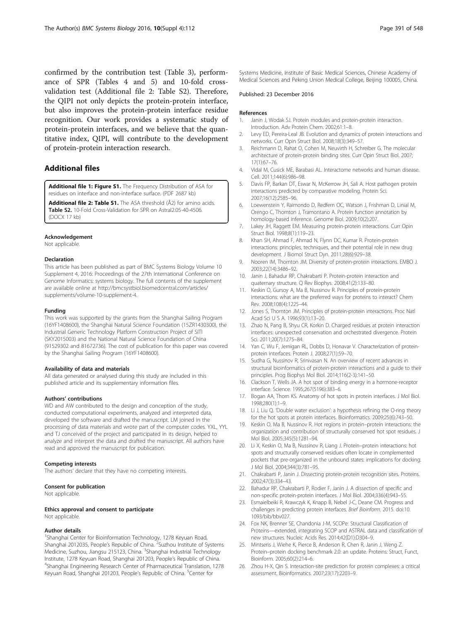<span id="page-10-0"></span>confirmed by the contribution test (Table [3\)](#page-8-0), performance of SPR (Tables [4](#page-8-0) and [5](#page-8-0)) and 10-fold crossvalidation test (Additional file 2: Table S2). Therefore, the QIPI not only depicts the protein-protein interface, but also improves the protein-protein interface residue recognition. Our work provides a systematic study of protein-protein interfaces, and we believe that the quantitative index, QIPI, will contribute to the development of protein-protein interaction research.

# Additional files

[Additional file 1: Figure S1.](dx.doi.org/10.1186/s12918-016-0351-7) The Frequency Distribution of ASA for residues on interface and non-interface surface. (PDF 2687 kb)

[Additional file 2: Table S1.](dx.doi.org/10.1186/s12918-016-0351-7) The ASA threshold (Å2) for amino acids. Table S2. 10-Fold Cross-Validation for SPR on Astral2.05-40-4506. (DOCX 17 kb)

### Acknowledgement

Not applicable.

#### Declaration

This article has been published as part of BMC Systems Biology Volume 10 Supplement 4, 2016: Proceedings of the 27th International Conference on Genome Informatics: systems biology. The full contents of the supplement are available online at [http://bmcsystbiol.biomedcentral.com/articles/](http://bmcsystbiol.biomedcentral.com/articles/supplements/volume-10-supplement-4) [supplements/volume-10-supplement-4.](http://bmcsystbiol.biomedcentral.com/articles/supplements/volume-10-supplement-4)

### Funding

This work was supported by the grants from the Shanghai Sailing Program (16YF1408600), the Shanghai Natural Science Foundation (15ZR1430300), the Industrial Generic Technology Platform Construction Project of SITI (SKY2015003) and the National Natural Science Foundation of China (91529302 and 81672736). The cost of publication for this paper was covered by the Shanghai Sailing Program (16YF1408600).

### Availability of data and materials

All data generated or analysed during this study are included in this published article and its supplementary information files.

#### Authors' contributions

WD and AW contributed to the design and conception of the study, conducted computational experiments, analyzed and interpreted data, developed the software and drafted the manuscript. LM joined in the processing of data materials and wrote part of the computer codes. YXL, YYL and TJ conceived of the project and participated in its design, helped to analyze and interpret the data and drafted the manuscript. All authors have read and approved the manuscript for publication.

#### Competing interests

The authors' declare that they have no competing interests.

#### Consent for publication

Not applicable.

Ethics approval and consent to participate Not applicable.

### Author details

<sup>1</sup>Shanghai Center for Bioinformation Technology, 1278 Keyuan Road, Shanghai 2012035, People's Republic of China. <sup>2</sup>Suzhou Institute of Systems Medicine, Suzhou, Jiangsu 215123, China. <sup>3</sup>Shanghai Industrial Technology Institute, 1278 Keyuan Road, Shanghai 201203, People's Republic of China. <sup>4</sup> Shanghai Engineering Research Center of Pharmaceutical Translation, 1278 Keyuan Road, Shanghai 201203, People's Republic of China. <sup>5</sup>Center for

Systems Medicine, Institute of Basic Medical Sciences, Chinese Academy of Medical Sciences and Peking Union Medical College, Beijing 100005, China.

# Published: 23 December 2016

#### References

- 1. Janin J, Wodak SJ. Protein modules and protein-protein interaction. Introduction. Adv Protein Chem. 2002;61:1–8.
- 2. Levy ED, Pereira-Leal JB. Evolution and dynamics of protein interactions and networks. Curr Opin Struct Biol. 2008;18(3):349–57.
- 3. Reichmann D, Rahat O, Cohen M, Neuvirth H, Schreiber G. The molecular architecture of protein-protein binding sites. Curr Opin Struct Biol. 2007; 17(1):67–76.
- 4. Vidal M, Cusick ME, Barabasi AL. Interactome networks and human disease. Cell. 2011;144(6):986–98.
- 5. Davis FP, Barkan DT, Eswar N, McKerrow JH, Sali A. Host pathogen protein interactions predicted by comparative modeling. Protein Sci. 2007;16(12):2585–96.
- 6. Loewenstein Y, Raimondo D, Redfern OC, Watson J, Frishman D, Linial M, Orengo C, Thornton J, Tramontano A. Protein function annotation by homology-based inference. Genome Biol. 2009;10(2):207.
- 7. Lakey JH, Raggett EM. Measuring protein-protein interactions. Curr Opin Struct Biol. 1998;8(1):119–23.
- 8. Khan SH, Ahmad F, Ahmad N, Flynn DC, Kumar R. Protein-protein interactions: principles, techniques, and their potential role in new drug development. J Biomol Struct Dyn. 2011;28(6):929–38.
- 9. Nooren IM, Thornton JM. Diversity of protein-protein interactions. EMBO J. 2003;22(14):3486–92.
- 10. Janin J, Bahadur RP, Chakrabarti P. Protein-protein interaction and quaternary structure. Q Rev Biophys. 2008;41(2):133–80.
- 11. Keskin O, Gursoy A, Ma B, Nussinov R. Principles of protein-protein interactions: what are the preferred ways for proteins to interact? Chem Rev. 2008;108(4):1225–44.
- 12. Jones S, Thornton JM. Principles of protein-protein interactions. Proc Natl Acad Sci U S A. 1996;93(1):13–20.
- 13. Zhao N, Pang B, Shyu CR, Korkin D. Charged residues at protein interaction interfaces: unexpected conservation and orchestrated divergence. Protein Sci. 2011;20(7):1275–84.
- 14. Yan C, Wu F, Jernigan RL, Dobbs D, Honavar V. Characterization of proteinprotein interfaces. Protein J. 2008;27(1):59–70.
- 15. Sudha G, Nussinov R, Srinivasan N. An overview of recent advances in structural bioinformatics of protein-protein interactions and a guide to their principles. Prog Biophys Mol Biol. 2014;116(2-3):141–50.
- 16. Clackson T, Wells JA. A hot spot of binding energy in a hormone-receptor interface. Science. 1995;267(5196):383–6.
- 17. Bogan AA, Thorn KS. Anatomy of hot spots in protein interfaces. J Mol Biol. 1998;280(1):1–9.
- 18. Li J, Liu Q. 'Double water exclusion': a hypothesis refining the O-ring theory for the hot spots at protein interfaces. Bioinformatics. 2009;25(6):743–50.
- 19. Keskin O, Ma B, Nussinov R. Hot regions in protein–protein interactions: the organization and contribution of structurally conserved hot spot residues. J Mol Biol. 2005;345(5):1281–94.
- 20. Li X, Keskin O, Ma B, Nussinov R, Liang J. Protein–protein interactions: hot spots and structurally conserved residues often locate in complemented pockets that pre-organized in the unbound states: implications for docking. J Mol Biol. 2004;344(3):781–95.
- 21. Chakrabarti P, Janin J. Dissecting protein-protein recognition sites. Proteins. 2002;47(3):334–43.
- 22. Bahadur RP, Chakrabarti P, Rodier F, Janin J. A dissection of specific and non-specific protein-protein interfaces. J Mol Biol. 2004;336(4):943–55.
- 23. Esmaielbeiki R, Krawczyk K, Knapp B, Nebel J-C, Deane CM. Progress and challenges in predicting protein interfaces. Brief Bioinform. 2015. doi[:10.](http://dx.doi.org/10.1093/bib/bbv027) [1093/bib/bbv027.](http://dx.doi.org/10.1093/bib/bbv027)
- 24. Fox NK, Brenner SE, Chandonia J-M. SCOPe: Structural Classification of Proteins—extended, integrating SCOP and ASTRAL data and classification of new structures. Nucleic Acids Res. 2014;42(D1):D304–9.
- 25. Mintseris J, Wiehe K, Pierce B, Anderson R, Chen R, Janin J, Weng Z. Protein–protein docking benchmark 2.0: an update. Proteins: Struct, Funct, Bioinform. 2005;60(2):214–6.
- 26. Zhou H-X, Qin S. Interaction-site prediction for protein complexes: a critical assessment. Bioinformatics. 2007;23(17):2203–9.